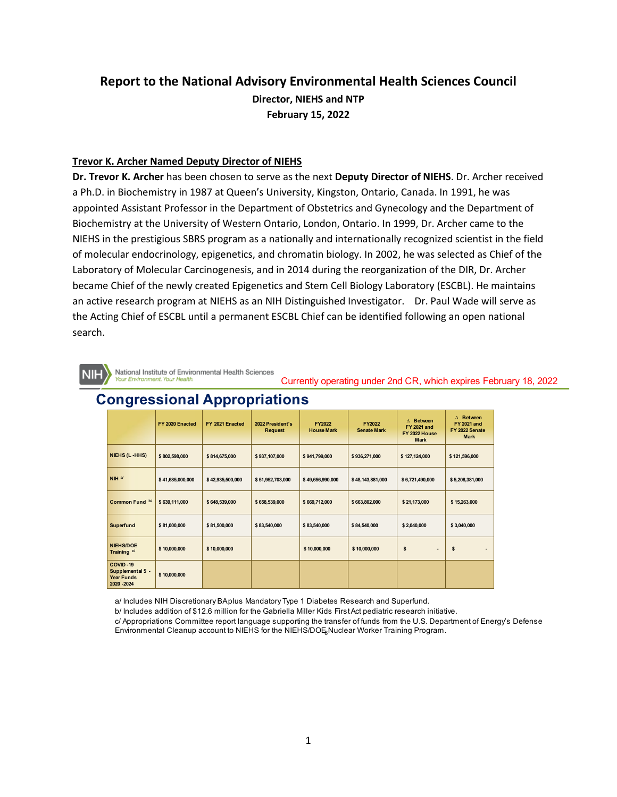# **Report to the National Advisory Environmental Health Sciences Council Director, NIEHS and NTP February 15, 2022**

#### **Trevor K. Archer Named Deputy Director of NIEHS**

**Dr. Trevor K. Archer** has been chosen to serve as the next **Deputy Director of NIEHS**. Dr. Archer received a Ph.D. in Biochemistry in 1987 at Queen's University, Kingston, Ontario, Canada. In 1991, he was appointed Assistant Professor in the Department of Obstetrics and Gynecology and the Department of Biochemistry at the University of Western Ontario, London, Ontario. In 1999, Dr. Archer came to the NIEHS in the prestigious SBRS program as a nationally and internationally recognized scientist in the field of molecular endocrinology, epigenetics, and chromatin biology. In 2002, he was selected as Chief of the Laboratory of Molecular Carcinogenesis, and in 2014 during the reorganization of the DIR, Dr. Archer became Chief of the newly created Epigenetics and Stem Cell Biology Laboratory (ESCBL). He maintains an active research program at NIEHS as an NIH Distinguished Investigator. Dr. Paul Wade will serve as the Acting Chief of ESCBL until a permanent ESCBL Chief can be identified following an open national search.

National Institute of Environmental Health Sciences four Environment. Your Health

Currently operating under 2nd CR, which expires February 18, 2022

|                                                                  | FY 2020 Enacted  | FY 2021 Enacted  | 2022 President's<br><b>Request</b> | <b>FY2022</b><br><b>House Mark</b> | FY2022<br><b>Senate Mark</b> | $\Delta$ Between<br><b>FY 2021 and</b><br>FY 2022 House<br><b>Mark</b> | $\triangle$ Between<br><b>FY 2021 and</b><br>FY 2022 Senate<br><b>Mark</b> |
|------------------------------------------------------------------|------------------|------------------|------------------------------------|------------------------------------|------------------------------|------------------------------------------------------------------------|----------------------------------------------------------------------------|
| NIEHS (L-HHS)                                                    | \$802,598,000    | \$814,675,000    | \$937,107,000                      | \$941,799,000                      | \$936,271,000                | \$127,124,000                                                          | \$121,596,000                                                              |
| $NIH$ a/                                                         | \$41,685,000,000 | \$42,935,500,000 | \$51,952,703,000                   | \$49,656,990,000                   | \$48,143,881,000             | \$6,721,490,000                                                        | \$5,208,381,000                                                            |
| Common Fund b/                                                   | \$639,111,000    | \$648,539,000    | \$658,539,000                      | \$669,712,000                      | \$663,802,000                | \$21,173,000                                                           | \$15,263,000                                                               |
| <b>Superfund</b>                                                 | \$81,000,000     | \$81,500,000     | \$83,540,000                       | \$83,540,000                       | \$84,540,000                 | \$2,040,000                                                            | \$3,040,000                                                                |
| <b>NIEHS/DOE</b><br>Training <sup>d</sup>                        | \$10,000,000     | \$10,000,000     |                                    | \$10,000,000                       | \$10,000,000                 | \$<br>$\overline{\phantom{a}}$                                         | \$                                                                         |
| COVID-19<br>Supplemental 5 -<br><b>Year Funds</b><br>2020 - 2024 | \$10,000,000     |                  |                                    |                                    |                              |                                                                        |                                                                            |

# **Congressional Appropriations**

a/ Includes NIH Discretionary BA plus Mandatory Type 1 Diabetes Research and Superfund.

b/ Includes addition of \$12.6 million for the Gabriella Miller Kids First Act pediatric research initiative.

Environmental Cleanup account to NIEHS for the NIEHS/DOE<sub>6</sub>Nuclear Worker Training Program. c/ Appropriations Committee report language supporting the transfer of funds from the U.S. Department of Energy's Defense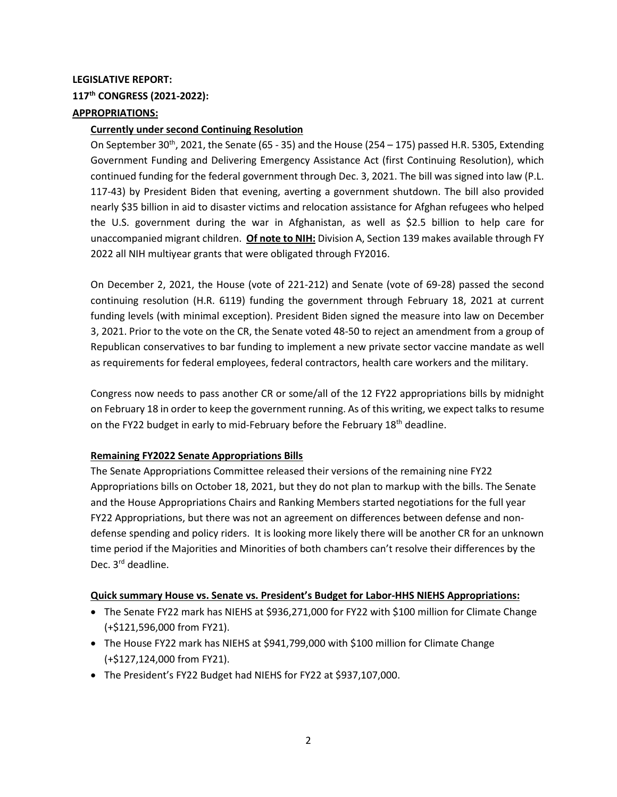## **LEGISLATIVE REPORT: 117th CONGRESS (2021-2022): APPROPRIATIONS:**

#### **Currently under second Continuing Resolution**

On September 30<sup>th</sup>, 2021, the Senate (65 - 35) and the House (254 – 175) passed H.R. 5305, Extending Government Funding and Delivering Emergency Assistance Act (first Continuing Resolution), which continued funding for the federal government through Dec. 3, 2021. The bill was signed into law (P.L. 117-43) by President Biden that evening, averting a government shutdown. The bill also provided nearly \$35 billion in aid to disaster victims and relocation assistance for Afghan refugees who helped the U.S. government during the war in Afghanistan, as well as \$2.5 billion to help care for unaccompanied migrant children. **Of note to NIH:** Division A, Section 139 makes available through FY 2022 all NIH multiyear grants that were obligated through FY2016.

On December 2, 2021, the House (vote of 221-212) and Senate (vote of 69-28) passed the second continuing resolution (H.R. 6119) funding the government through February 18, 2021 at current funding levels (with minimal exception). President Biden signed the measure into law on December 3, 2021. Prior to the vote on the CR, the Senate voted 48-50 to reject an amendment from a group of Republican conservatives to bar funding to implement a new private sector vaccine mandate as well as requirements for federal employees, federal contractors, health care workers and the military.

Congress now needs to pass another CR or some/all of the 12 FY22 appropriations bills by midnight on February 18 in order to keep the government running. As of this writing, we expect talks to resume on the FY22 budget in early to mid-February before the February 18<sup>th</sup> deadline.

#### **Remaining FY2022 Senate Appropriations Bills**

The Senate Appropriations Committee released their versions of the remaining nine FY22 Appropriations bills on October 18, 2021, but they do not plan to markup with the bills. The Senate and the House Appropriations Chairs and Ranking Members started negotiations for the full year FY22 Appropriations, but there was not an agreement on differences between defense and nondefense spending and policy riders. It is looking more likely there will be another CR for an unknown time period if the Majorities and Minorities of both chambers can't resolve their differences by the Dec. 3<sup>rd</sup> deadline.

#### **Quick summary House vs. Senate vs. President's Budget for Labor-HHS NIEHS Appropriations:**

- The Senate FY22 mark has NIEHS at \$936,271,000 for FY22 with \$100 million for Climate Change (+\$121,596,000 from FY21).
- The House FY22 mark has NIEHS at \$941,799,000 with \$100 million for Climate Change (+\$127,124,000 from FY21).
- The President's FY22 Budget had NIEHS for FY22 at \$937,107,000.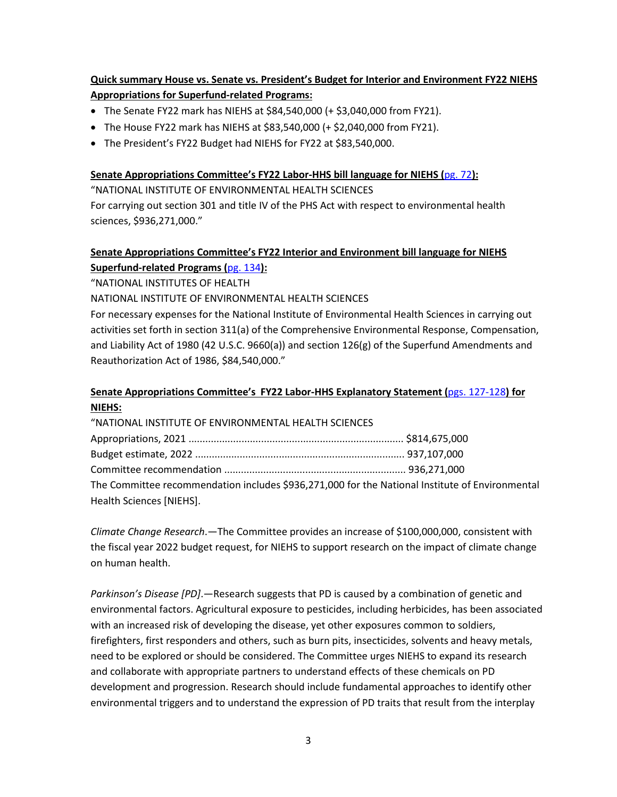## **Quick summary House vs. Senate vs. President's Budget for Interior and Environment FY22 NIEHS Appropriations for Superfund-related Programs:**

- The Senate FY22 mark has NIEHS at \$84,540,000 (+ \$3,040,000 from FY21).
- The House FY22 mark has NIEHS at \$83,540,000 (+ \$2,040,000 from FY21).
- The President's FY22 Budget had NIEHS for FY22 at \$83,540,000.

### **Senate Appropriations Committee's FY22 Labor-HHS bill language for NIEHS (**[pg. 72](https://www.appropriations.senate.gov/download/lhhsfy2022_final)**):**

"NATIONAL INSTITUTE OF ENVIRONMENTAL HEALTH SCIENCES

For carrying out section 301 and title IV of the PHS Act with respect to environmental health sciences, \$936,271,000."

## **Senate Appropriations Committee's FY22 Interior and Environment bill language for NIEHS Superfund-related Programs (**[pg. 134](https://www.appropriations.senate.gov/imo/media/doc/INTFY2022_Final.PDF)**):**

"NATIONAL INSTITUTES OF HEALTH

NATIONAL INSTITUTE OF ENVIRONMENTAL HEALTH SCIENCES

For necessary expenses for the National Institute of Environmental Health Sciences in carrying out activities set forth in section 311(a) of the Comprehensive Environmental Response, Compensation, and Liability Act of 1980 (42 U.S.C. 9660(a)) and section 126(g) of the Superfund Amendments and Reauthorization Act of 1986, \$84,540,000."

## **Senate Appropriations Committee's FY22 Labor-HHS Explanatory Statement (**[pgs. 127-128](https://www.appropriations.senate.gov/imo/media/doc/LHHSREPT_FINAL2.PDF)**) for NIEHS:**

"NATIONAL INSTITUTE OF ENVIRONMENTAL HEALTH SCIENCES

| The Committee recommendation includes \$936,271,000 for the National Institute of Environmental |  |  |  |  |  |
|-------------------------------------------------------------------------------------------------|--|--|--|--|--|
| Health Sciences [NIEHS].                                                                        |  |  |  |  |  |

*Climate Change Research*.—The Committee provides an increase of \$100,000,000, consistent with the fiscal year 2022 budget request, for NIEHS to support research on the impact of climate change on human health.

*Parkinson's Disease [PD]*.—Research suggests that PD is caused by a combination of genetic and environmental factors. Agricultural exposure to pesticides, including herbicides, has been associated with an increased risk of developing the disease, yet other exposures common to soldiers, firefighters, first responders and others, such as burn pits, insecticides, solvents and heavy metals, need to be explored or should be considered. The Committee urges NIEHS to expand its research and collaborate with appropriate partners to understand effects of these chemicals on PD development and progression. Research should include fundamental approaches to identify other environmental triggers and to understand the expression of PD traits that result from the interplay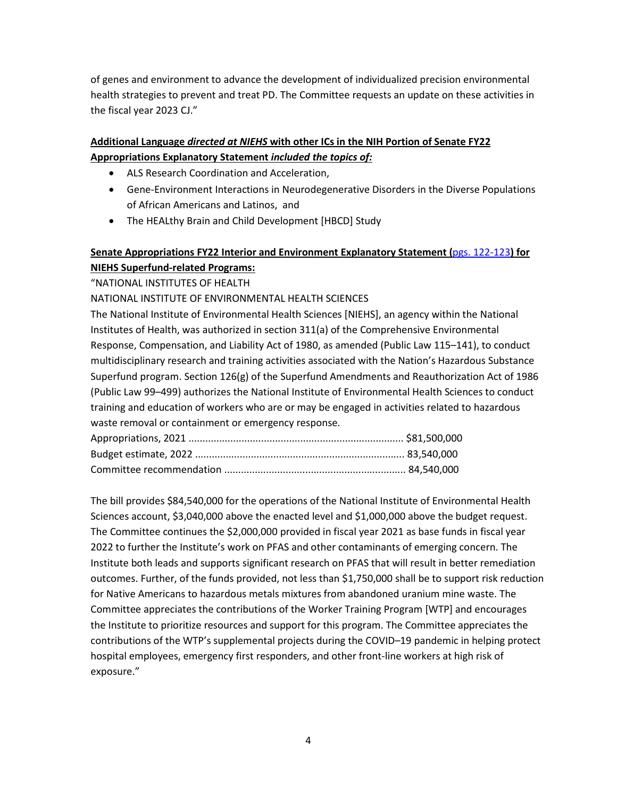of genes and environment to advance the development of individualized precision environmental health strategies to prevent and treat PD. The Committee requests an update on these activities in the fiscal year 2023 CJ."

## **Additional Language** *directed at NIEHS* **with other ICs in the NIH Portion of Senate FY22 Appropriations Explanatory Statement** *included the topics of:*

- ALS Research Coordination and Acceleration,
- Gene-Environment Interactions in Neurodegenerative Disorders in the Diverse Populations of African Americans and Latinos, and
- The HEALthy Brain and Child Development [HBCD] Study

## **Senate Appropriations FY22 Interior and Environment Explanatory Statement (**[pgs. 122-123](https://www.appropriations.senate.gov/imo/media/doc/INTRept_FINAL.PDF)**) for NIEHS Superfund-related Programs:**

"NATIONAL INSTITUTES OF HEALTH

## NATIONAL INSTITUTE OF ENVIRONMENTAL HEALTH SCIENCES

The National Institute of Environmental Health Sciences [NIEHS], an agency within the National Institutes of Health, was authorized in section 311(a) of the Comprehensive Environmental Response, Compensation, and Liability Act of 1980, as amended (Public Law 115–141), to conduct multidisciplinary research and training activities associated with the Nation's Hazardous Substance Superfund program. Section 126(g) of the Superfund Amendments and Reauthorization Act of 1986 (Public Law 99–499) authorizes the National Institute of Environmental Health Sciences to conduct training and education of workers who are or may be engaged in activities related to hazardous waste removal or containment or emergency response.

The bill provides \$84,540,000 for the operations of the National Institute of Environmental Health Sciences account, \$3,040,000 above the enacted level and \$1,000,000 above the budget request. The Committee continues the \$2,000,000 provided in fiscal year 2021 as base funds in fiscal year 2022 to further the Institute's work on PFAS and other contaminants of emerging concern. The Institute both leads and supports significant research on PFAS that will result in better remediation outcomes. Further, of the funds provided, not less than \$1,750,000 shall be to support risk reduction for Native Americans to hazardous metals mixtures from abandoned uranium mine waste. The Committee appreciates the contributions of the Worker Training Program [WTP] and encourages the Institute to prioritize resources and support for this program. The Committee appreciates the contributions of the WTP's supplemental projects during the COVID–19 pandemic in helping protect hospital employees, emergency first responders, and other front-line workers at high risk of exposure."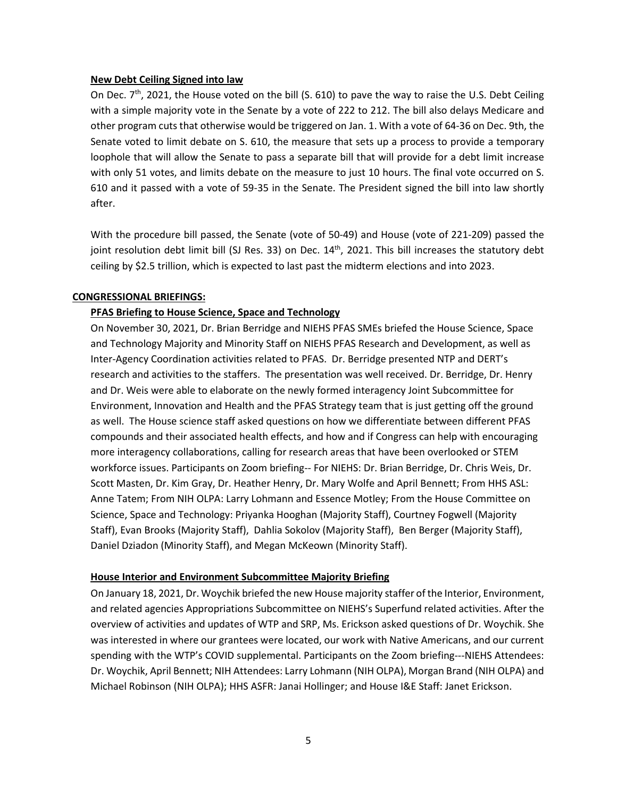#### **New Debt Ceiling Signed into law**

On Dec. 7<sup>th</sup>, 2021, the House voted on the bill (S. 610) to pave the way to raise the U.S. Debt Ceiling with a simple majority vote in the Senate by a vote of 222 to 212. The bill also delays Medicare and other program cuts that otherwise would be triggered on Jan. 1. With a vote of 64-36 on Dec. 9th, the Senate voted to limit debate on S. 610, the measure that sets up a process to provide a temporary loophole that will allow the Senate to pass a separate bill that will provide for a debt limit increase with only 51 votes, and limits debate on the measure to just 10 hours. The final vote occurred on S. 610 and it passed with a vote of 59-35 in the Senate. The President signed the bill into law shortly after.

With the procedure bill passed, the Senate (vote of 50-49) and House (vote of 221-209) passed the joint resolution debt limit bill (SJ Res. 33) on Dec. 14<sup>th</sup>, 2021. This bill increases the statutory debt ceiling by \$2.5 trillion, which is expected to last past the midterm elections and into 2023.

#### **CONGRESSIONAL BRIEFINGS:**

#### **PFAS Briefing to House Science, Space and Technology**

On November 30, 2021, Dr. Brian Berridge and NIEHS PFAS SMEs briefed the House Science, Space and Technology Majority and Minority Staff on NIEHS PFAS Research and Development, as well as Inter-Agency Coordination activities related to PFAS. Dr. Berridge presented NTP and DERT's research and activities to the staffers. The presentation was well received. Dr. Berridge, Dr. Henry and Dr. Weis were able to elaborate on the newly formed interagency Joint Subcommittee for Environment, Innovation and Health and the PFAS Strategy team that is just getting off the ground as well. The House science staff asked questions on how we differentiate between different PFAS compounds and their associated health effects, and how and if Congress can help with encouraging more interagency collaborations, calling for research areas that have been overlooked or STEM workforce issues. Participants on Zoom briefing-- For NIEHS: Dr. Brian Berridge, Dr. Chris Weis, Dr. Scott Masten, Dr. Kim Gray, Dr. Heather Henry, Dr. Mary Wolfe and April Bennett; From HHS ASL: Anne Tatem; From NIH OLPA: Larry Lohmann and Essence Motley; From the House Committee on Science, Space and Technology: Priyanka Hooghan (Majority Staff), Courtney Fogwell (Majority Staff), Evan Brooks (Majority Staff), Dahlia Sokolov (Majority Staff), Ben Berger (Majority Staff), Daniel Dziadon (Minority Staff), and Megan McKeown (Minority Staff).

#### **House Interior and Environment Subcommittee Majority Briefing**

On January 18, 2021, Dr. Woychik briefed the new House majority staffer of the Interior, Environment, and related agencies Appropriations Subcommittee on NIEHS's Superfund related activities. After the overview of activities and updates of WTP and SRP, Ms. Erickson asked questions of Dr. Woychik. She was interested in where our grantees were located, our work with Native Americans, and our current spending with the WTP's COVID supplemental. Participants on the Zoom briefing---NIEHS Attendees: Dr. Woychik, April Bennett; NIH Attendees: Larry Lohmann (NIH OLPA), Morgan Brand (NIH OLPA) and Michael Robinson (NIH OLPA); HHS ASFR: Janai Hollinger; and House I&E Staff: Janet Erickson.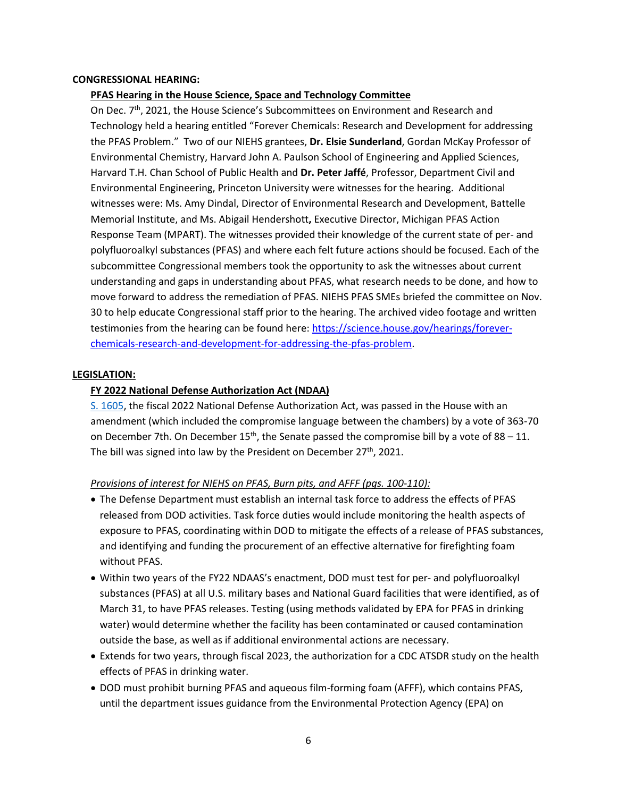#### **CONGRESSIONAL HEARING:**

#### **PFAS Hearing in the House Science, Space and Technology Committee**

On Dec. 7<sup>th</sup>, 2021, the House Science's Subcommittees on Environment and Research and Technology held a hearing entitled "Forever Chemicals: Research and Development for addressing the PFAS Problem." Two of our NIEHS grantees, Dr. Elsie Sunderland, Gordan McKay Professor of Environmental Chemistry, Harvard John A. Paulson School of Engineering and Applied Sciences, Harvard T.H. Chan School of Public Health and [Dr. Peter Jaffé](https://science.house.gov/download/jaffe-testimony), Professor, Department Civil and Environmental Engineering, Princeton University were witnesses for the hearing. Additional witnesses were: [Ms. Amy Dindal,](https://science.house.gov/download/dindal-testimony) Director of Environmental Research and Development, Battelle Memorial Institute, and [Ms. Abigail Hendershott](https://science.house.gov/download/hendershott-testimony), Executive Director, Michigan PFAS Action Response Team (MPART). The witnesses provided their knowledge of the current state of per- and polyfluoroalkyl substances (PFAS) and where each felt future actions should be focused. Each of the subcommittee Congressional members took the opportunity to ask the witnesses about current understanding and gaps in understanding about PFAS, what research needs to be done, and how to move forward to address the remediation of PFAS. NIEHS PFAS SMEs briefed the committee on Nov. 30 to help educate Congressional staff prior to the hearing. The archived video footage and written testimonies from the hearing can be found here: [https://science.house.gov/hearings/forever](https://science.house.gov/hearings/forever-chemicals-research-and-development-for-addressing-the-pfas-problem)[chemicals-research-and-development-for-addressing-the-pfas-problem.](https://science.house.gov/hearings/forever-chemicals-research-and-development-for-addressing-the-pfas-problem)

#### **LEGISLATION:**

#### **FY 2022 National Defense Authorization Act (NDAA)**

[S. 1605,](https://www.bgov.com/us_legislation/6937628077585072130) the fiscal 2022 National Defense Authorization Act, was passed in the House with an amendment (which included the compromise language between the chambers) by a vote of 363-70 on December 7th. On December  $15<sup>th</sup>$ , the Senate passed the compromise bill by a vote of 88 – 11. The bill was signed into law by the President on December  $27<sup>th</sup>$ , 2021.

#### *Provisions of interest for NIEHS on PFAS, Burn pits, and AFFF (pgs. 100-110):*

- The Defense Department must establish an internal task force to address the effects of PFAS released from DOD activities. Task force duties would include monitoring the health aspects of exposure to PFAS, coordinating within DOD to mitigate the effects of a release of PFAS substances, and identifying and funding the procurement of an effective alternative for firefighting foam without PFAS.
- Within two years of the FY22 NDAAS's enactment, DOD must test for per- and polyfluoroalkyl substances (PFAS) at all U.S. military bases and National Guard facilities that were identified, as of March 31, to have PFAS releases. Testing (using methods validated by EPA for PFAS in drinking water) would determine whether the facility has been contaminated or caused contamination outside the base, as well as if additional environmental actions are necessary.
- Extends for two years, through fiscal 2023, the authorization for a CDC ATSDR study on the health effects of PFAS in drinking water.
- DOD must prohibit burning PFAS and aqueous film-forming foam (AFFF), which contains PFAS, until the department issues guidance from the Environmental Protection Agency (EPA) on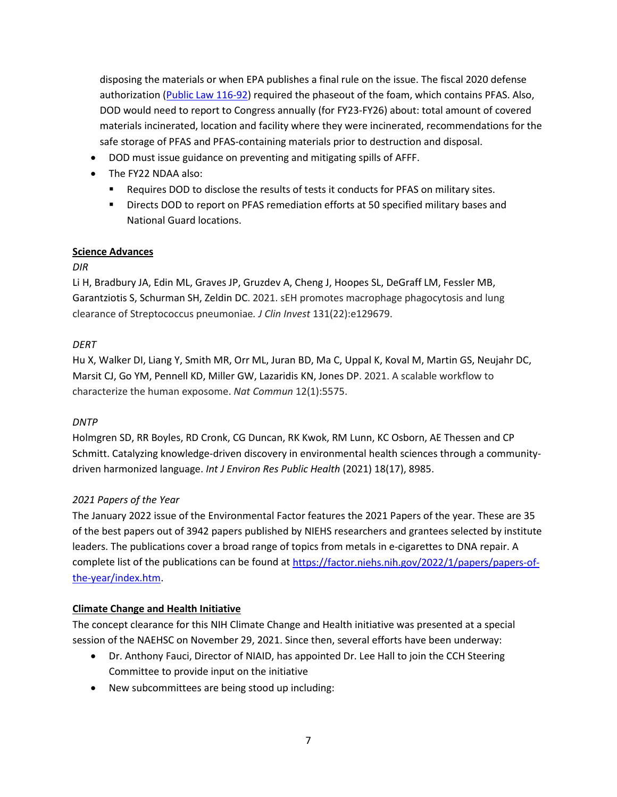disposing the materials or when EPA publishes a final rule on the issue. The fiscal 2020 defense authorization [\(Public Law 116-92\)](https://www.bgov.com/us_legislation/6701545000824209416) required the phaseout of the foam, which contains PFAS. Also, DOD would need to report to Congress annually (for FY23-FY26) about: total amount of covered materials incinerated, location and facility where they were incinerated, recommendations for the safe storage of PFAS and PFAS-containing materials prior to destruction and disposal.

- DOD must issue guidance on preventing and mitigating spills of AFFF.
- The FY22 NDAA also:
	- **Requires DOD to disclose the results of tests it conducts for PFAS on military sites.**
	- **PED EXECTS DOD TO report on PFAS remediation efforts at 50 specified military bases and** National Guard locations.

### **Science Advances**

## *DIR*

Li H, Bradbury JA, Edin ML, Graves JP, Gruzdev A, Cheng J, Hoopes SL, DeGraff LM, Fessler MB, Garantziotis S, Schurman SH, Zeldin DC. 2021. sEH promotes macrophage phagocytosis and lung clearance of Streptococcus pneumoniae*. J Clin Invest* 131(22):e129679.

### *DERT*

Hu X, Walker DI, Liang Y, Smith MR, Orr ML, Juran BD, Ma C, Uppal K, Koval M, Martin GS, Neujahr DC, Marsit CJ, Go YM, Pennell KD, Miller GW, Lazaridis KN, Jones DP. 2021. A scalable workflow to characterize the human exposome. *Nat Commun* 12(1):5575.

#### *DNTP*

Holmgren SD, RR Boyles, RD Cronk, CG Duncan, RK Kwok, RM Lunn, KC Osborn, AE Thessen and CP Schmitt. Catalyzing knowledge-driven discovery in environmental health sciences through a communitydriven harmonized language. *Int J Environ Res Public Health* (2021) 18(17), 8985.

## *2021 Papers of the Year*

The January 2022 issue of the Environmental Factor features the 2021 Papers of the year. These are 35 of the best papers out of 3942 papers published by NIEHS researchers and grantees selected by institute leaders. The publications cover a broad range of topics from metals in e-cigarettes to DNA repair. A complete list of the publications can be found at [https://factor.niehs.nih.gov/2022/1/papers/papers-of](https://factor.niehs.nih.gov/2022/1/papers/papers-of-the-year/index.htm)[the-year/index.htm.](https://factor.niehs.nih.gov/2022/1/papers/papers-of-the-year/index.htm)

## **Climate Change and Health Initiative**

The concept clearance for this NIH Climate Change and Health initiative was presented at a special session of the NAEHSC on November 29, 2021. Since then, several efforts have been underway:

- Dr. Anthony Fauci, Director of NIAID, has appointed Dr. Lee Hall to join the CCH Steering Committee to provide input on the initiative
- New subcommittees are being stood up including: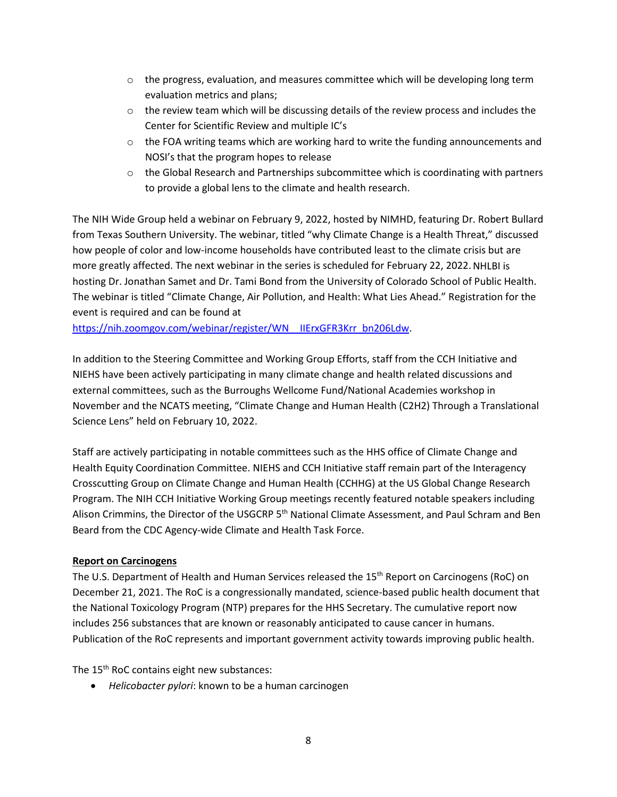- $\circ$  the progress, evaluation, and measures committee which will be developing long term evaluation metrics and plans;
- $\circ$  the review team which will be discussing details of the review process and includes the Center for Scientific Review and multiple IC's
- $\circ$  the FOA writing teams which are working hard to write the funding announcements and NOSI's that the program hopes to release
- $\circ$  the Global Research and Partnerships subcommittee which is coordinating with partners to provide a global lens to the climate and health research.

The NIH Wide Group held a webinar on February 9, 2022, hosted by NIMHD, featuring Dr. Robert Bullard from Texas Southern University. The webinar, titled "why Climate Change is a Health Threat," discussed how people of color and low-income households have contributed least to the climate crisis but are more greatly affected. The next webinar in the series is scheduled for February 22, 2022.NHLBI is hosting Dr. Jonathan Samet and Dr. Tami Bond from the University of Colorado School of Public Health. The webinar is titled "Climate Change, Air Pollution, and Health: What Lies Ahead." Registration for the event is required and can be found at

[https://nih.zoomgov.com/webinar/register/WN\\_\\_IIErxGFR3Krr\\_bn206Ldw.](https://nih.zoomgov.com/webinar/register/WN__IIErxGFR3Krr_bn206Ldw)

In addition to the Steering Committee and Working Group Efforts, staff from the CCH Initiative and NIEHS have been actively participating in many climate change and health related discussions and external committees, such as the Burroughs Wellcome Fund/National Academies workshop in November and the NCATS meeting, "Climate Change and Human Health (C2H2) Through a Translational Science Lens" held on February 10, 2022.

Staff are actively participating in notable committees such as the HHS office of Climate Change and Health Equity Coordination Committee. NIEHS and CCH Initiative staff remain part of the Interagency Crosscutting Group on Climate Change and Human Health (CCHHG) at the US Global Change Research Program. The NIH CCH Initiative Working Group meetings recently featured notable speakers including Alison Crimmins, the Director of the USGCRP 5<sup>th</sup> National Climate Assessment, and Paul Schram and Ben Beard from the CDC Agency-wide Climate and Health Task Force.

#### **Report on Carcinogens**

The U.S. Department of Health and Human Services released the 15<sup>th</sup> Report on Carcinogens (RoC) on December 21, 2021. The RoC is a congressionally mandated, science-based public health document that the National Toxicology Program (NTP) prepares for the HHS Secretary. The cumulative report now includes 256 substances that are known or reasonably anticipated to cause cancer in humans. Publication of the RoC represents and important government activity towards improving public health.

The 15<sup>th</sup> RoC contains eight new substances:

• *Helicobacter pylori*: known to be a human carcinogen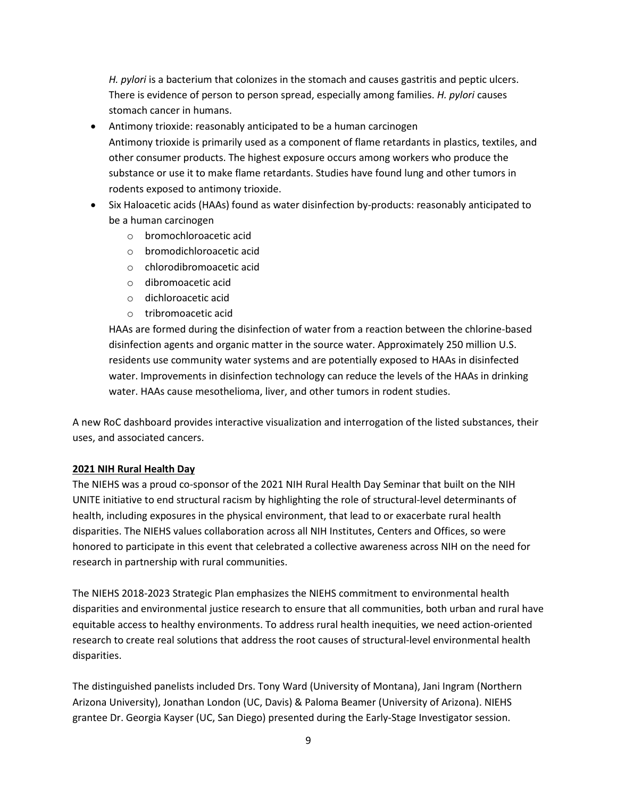*H. pylori* is a bacterium that colonizes in the stomach and causes gastritis and peptic ulcers. There is evidence of person to person spread, especially among families. *H. pylori* causes stomach cancer in humans.

- Antimony trioxide: reasonably anticipated to be a human carcinogen Antimony trioxide is primarily used as a component of flame retardants in plastics, textiles, and other consumer products. The highest exposure occurs among workers who produce the substance or use it to make flame retardants. Studies have found lung and other tumors in rodents exposed to antimony trioxide.
- Six Haloacetic acids (HAAs) found as water disinfection by-products: reasonably anticipated to be a human carcinogen
	- o bromochloroacetic acid
	- o bromodichloroacetic acid
	- o chlorodibromoacetic acid
	- o dibromoacetic acid
	- o dichloroacetic acid
	- o tribromoacetic acid

HAAs are formed during the disinfection of water from a reaction between the chlorine-based disinfection agents and organic matter in the source water. Approximately 250 million U.S. residents use community water systems and are potentially exposed to HAAs in disinfected water. Improvements in disinfection technology can reduce the levels of the HAAs in drinking water. HAAs cause mesothelioma, liver, and other tumors in rodent studies.

A new RoC dashboard provides interactive visualization and interrogation of the listed substances, their uses, and associated cancers.

#### **2021 NIH Rural Health Day**

The NIEHS was a proud co-sponsor of the 2021 NIH Rural Health Day Seminar that built on the NIH UNITE initiative to end structural racism by highlighting the role of structural-level determinants of health, including exposures in the physical environment, that lead to or exacerbate rural health disparities. The NIEHS values collaboration across all NIH Institutes, Centers and Offices, so were honored to participate in this event that celebrated a collective awareness across NIH on the need for research in partnership with rural communities.

The NIEHS 2018-2023 Strategic Plan emphasizes the NIEHS commitment to environmental health disparities and environmental justice research to ensure that all communities, both urban and rural have equitable access to healthy environments. To address rural health inequities, we need action-oriented research to create real solutions that address the root causes of structural-level environmental health disparities.

The distinguished panelists included Drs. Tony Ward (University of Montana), Jani Ingram (Northern Arizona University), Jonathan London (UC, Davis) & Paloma Beamer (University of Arizona). NIEHS grantee Dr. Georgia Kayser (UC, San Diego) presented during the Early-Stage Investigator session.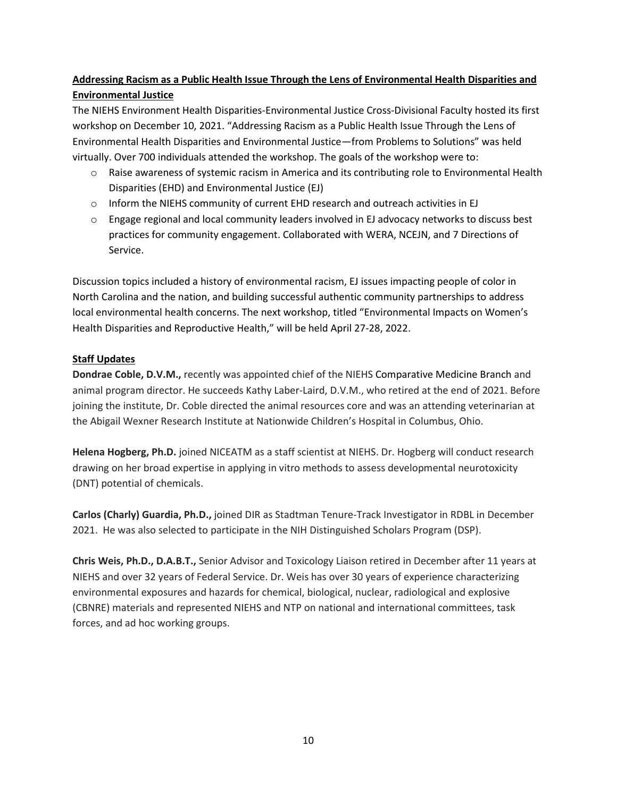## **Addressing Racism as a Public Health Issue Through the Lens of Environmental Health Disparities and Environmental Justice**

The NIEHS Environment Health Disparities-Environmental Justice Cross-Divisional Faculty hosted its first workshop on December 10, 2021. "Addressing Racism as a Public Health Issue Through the Lens of Environmental Health Disparities and Environmental Justice—from Problems to Solutions" was held virtually. Over 700 individuals attended the workshop. The goals of the workshop were to:

- $\circ$  Raise awareness of systemic racism in America and its contributing role to Environmental Health Disparities (EHD) and Environmental Justice (EJ)
- $\circ$  Inform the NIEHS community of current EHD research and outreach activities in EJ
- $\circ$  Engage regional and local community leaders involved in EJ advocacy networks to discuss best practices for community engagement. Collaborated with WERA, NCEJN, and 7 Directions of Service.

Discussion topics included a history of environmental racism, EJ issues impacting people of color in North Carolina and the nation, and building successful authentic community partnerships to address local environmental health concerns. The next workshop, titled "Environmental Impacts on Women's Health Disparities and Reproductive Health," will be held April 27-28, 2022.

## **Staff Updates**

**Dondrae Coble, D.V.M.,** recently was appointed chief of the NIEHS Comparative Medicine Branch and animal program director. He succeeds Kathy Laber-Laird, D.V.M., who retired at the end of 2021. Before joining the institute, Dr. Coble directed the animal resources core and was an attending veterinarian at the Abigail Wexner Research Institute at Nationwide Children's Hospital in Columbus, Ohio.

**Helena Hogberg, Ph.D.** joined NICEATM as a staff scientist at NIEHS. Dr. Hogberg will conduct research drawing on her broad expertise in applying in vitro methods to assess developmental neurotoxicity (DNT) potential of chemicals.

**Carlos (Charly) Guardia, Ph.D.,** joined DIR as Stadtman Tenure-Track Investigator in RDBL in December 2021. He was also selected to participate in the NIH Distinguished Scholars Program (DSP).

**Chris Weis, Ph.D., D.A.B.T.,** Senior Advisor and Toxicology Liaison retired in December after 11 years at NIEHS and over 32 years of Federal Service. Dr. Weis has over 30 years of experience characterizing environmental exposures and hazards for chemical, biological, nuclear, radiological and explosive (CBNRE) materials and represented NIEHS and NTP on national and international committees, task forces, and ad hoc working groups.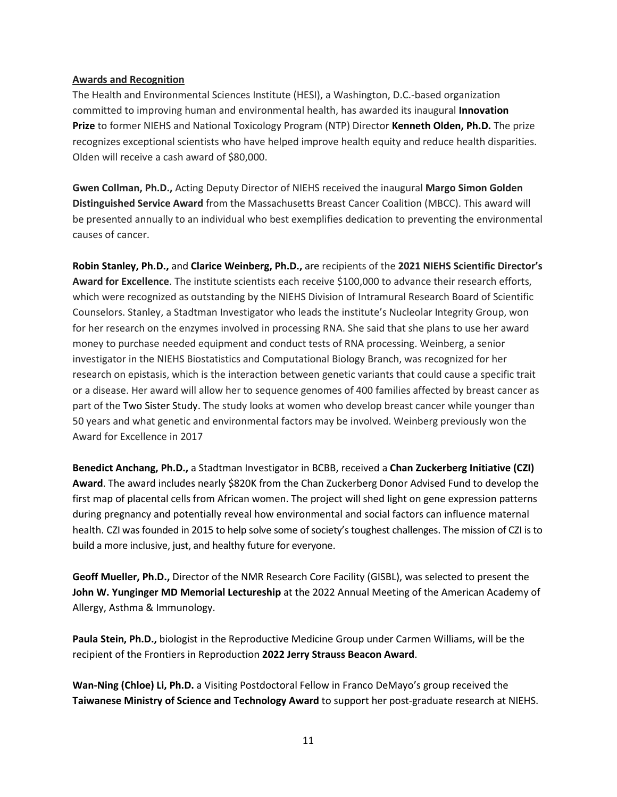#### **Awards and Recognition**

The Health and Environmental Sciences Institute (HESI), a Washington, D.C.-based organization committed to improving human and environmental health, has awarded its inaugural **[Innovation](https://hesiglobal.org/hesi-innovation-prize/)  [Prize](https://hesiglobal.org/hesi-innovation-prize/)** to former NIEHS and National Toxicology Program (NTP) Director **[Kenneth Olden, Ph.D.](https://www.niehs.nih.gov/about/history/pastdirectors/kennetholden/index.cfm)** The prize recognizes exceptional scientists who have helped improve health equity and reduce health disparities. Olden will receive a cash award of \$80,000.

**Gwen Collman, Ph.D.,** Acting Deputy Director of NIEHS received the inaugural **Margo Simon Golden Distinguished Service Award** from the Massachusetts Breast Cancer Coalition (MBCC). This award will be presented annually to an individual who best exemplifies dedication to preventing the environmental causes of cancer.

**Robin Stanley, Ph.D.,** and **Clarice Weinberg, Ph.D.,** are recipients of the **2021 NIEHS Scientific Director's Award for Excellence**. The institute scientists each receive \$100,000 to advance their research efforts, which were recognized as outstanding by the NIEHS Division of Intramural Research Board of Scientific Counselors. Stanley, a Stadtman Investigator who leads the institute's Nucleolar Integrity Group, won for her research on the enzymes involved in processing RNA. She said that she plans to use her award money to purchase needed equipment and conduct tests of RNA processing. Weinberg, a senior investigator in the NIEHS Biostatistics and Computational Biology Branch, was recognized for her research on epistasis, which is the interaction between genetic variants that could cause a specific trait or a disease. Her award will allow her to sequence genomes of 400 families affected by breast cancer as part of the Two Sister Study. The study looks at women who develop breast cancer while younger than 50 years and what genetic and environmental factors may be involved. Weinberg previously won the Award for Excellence in 2017

**Benedict Anchang, Ph.D.,** a Stadtman Investigator in BCBB, received a **Chan Zuckerberg Initiative (CZI) Award**. The award includes nearly \$820K from the Chan Zuckerberg Donor Advised Fund to develop the first map of placental cells from African women. The project will shed light on gene expression patterns during pregnancy and potentially reveal how environmental and social factors can influence maternal health. CZI was founded in 2015 to help solve some of society's toughest challenges. The mission of CZI is to build a more inclusive, just, and healthy future for everyone.

**Geoff Mueller, Ph.D.,** Director of the NMR Research Core Facility (GISBL), was selected to present the **John W. Yunginger MD Memorial Lectureship** at the 2022 Annual Meeting of the American Academy of Allergy, Asthma & Immunology.

**Paula Stein, Ph.D.,** biologist in the Reproductive Medicine Group under Carmen Williams, will be the recipient of the Frontiers in Reproduction **2022 Jerry Strauss Beacon Award**.

**Wan-Ning (Chloe) Li, Ph.D.** a Visiting Postdoctoral Fellow in Franco DeMayo's group received the **Taiwanese Ministry of Science and Technology Award** to support her post-graduate research at NIEHS.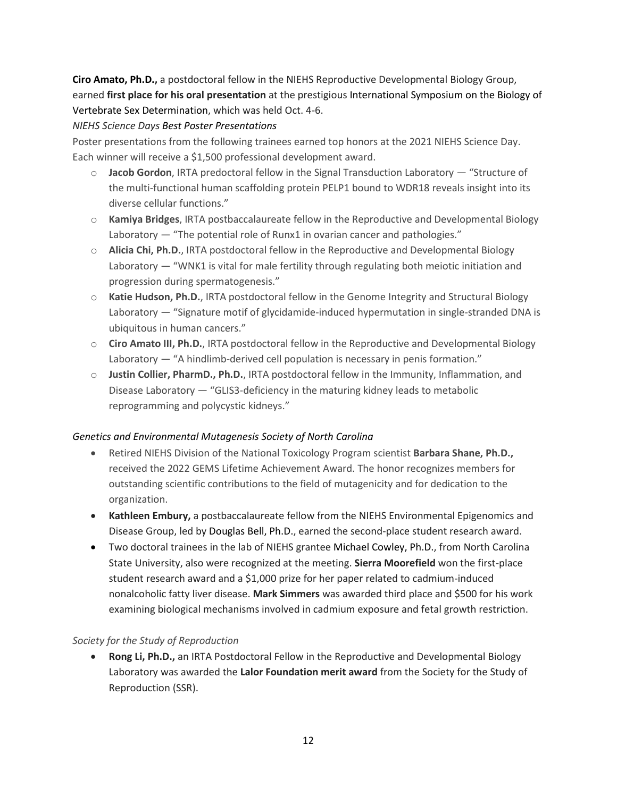**Ciro Amato, Ph.D.,** a postdoctoral fellow in the NIEHS Reproductive Developmental Biology Group, earned **first place for his oral presentation** at the prestigious International Symposium on the Biology of Vertebrate Sex Determination, which was held Oct. 4-6.

## *NIEHS Science Days Best Poster Presentations*

Poster presentations from the following trainees earned top honors at the 2021 NIEHS Science Day. Each winner will receive a \$1,500 professional development award.

- o **Jacob Gordon**, IRTA predoctoral fellow in the Signal Transduction Laboratory "Structure of the multi-functional human scaffolding protein PELP1 bound to WDR18 reveals insight into its diverse cellular functions."
- o **Kamiya Bridges**, IRTA postbaccalaureate fellow in the Reproductive and Developmental Biology Laboratory — "The potential role of Runx1 in ovarian cancer and pathologies."
- o **Alicia Chi, Ph.D.**, IRTA postdoctoral fellow in the Reproductive and Developmental Biology Laboratory — "WNK1 is vital for male fertility through regulating both meiotic initiation and progression during spermatogenesis."
- o **Katie Hudson, Ph.D.**, IRTA postdoctoral fellow in the Genome Integrity and Structural Biology Laboratory — "Signature motif of glycidamide-induced hypermutation in single-stranded DNA is ubiquitous in human cancers."
- o **Ciro Amato III, Ph.D.**, IRTA postdoctoral fellow in the Reproductive and Developmental Biology Laboratory — "A hindlimb-derived cell population is necessary in penis formation."
- o **Justin Collier, PharmD., Ph.D.**, IRTA postdoctoral fellow in the Immunity, Inflammation, and Disease Laboratory — "GLIS3-deficiency in the maturing kidney leads to metabolic reprogramming and polycystic kidneys."

## *Genetics and Environmental Mutagenesis Society of North Carolina*

- Retired NIEHS Division of the National Toxicology Program scientist **Barbara Shane, Ph.D.,** received the 2022 GEMS Lifetime Achievement Award. The honor recognizes members for outstanding scientific contributions to the field of mutagenicity and for dedication to the organization.
- **Kathleen Embury,** a postbaccalaureate fellow from the NIEHS Environmental Epigenomics and Disease Group, led by Douglas Bell, Ph.D., earned the second-place student research award.
- Two doctoral trainees in the lab of NIEHS grantee Michael Cowley, Ph.D., from North Carolina State University, also were recognized at the meeting. **Sierra Moorefield** won the first-place student research award and a \$1,000 prize for her paper related to cadmium-induced nonalcoholic fatty liver disease. **Mark Simmers** was awarded third place and \$500 for his work examining biological mechanisms involved in cadmium exposure and fetal growth restriction.

## *Society for the Study of Reproduction*

• **Rong Li, Ph.D.,** an IRTA Postdoctoral Fellow in the Reproductive and Developmental Biology Laboratory was awarded the **Lalor Foundation merit award** from the Society for the Study of Reproduction (SSR).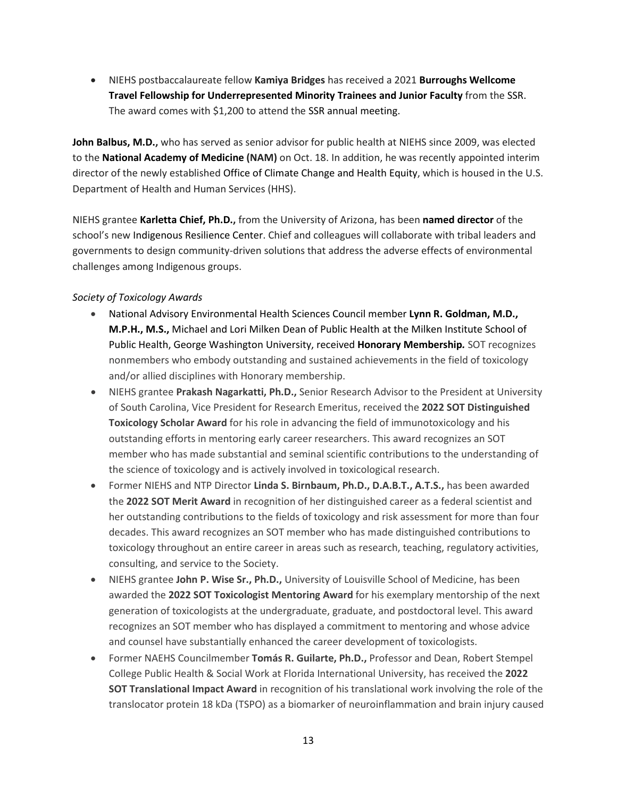• NIEHS postbaccalaureate fellow **Kamiya Bridges** has received a 2021 **Burroughs Wellcome Travel Fellowship for Underrepresented Minority Trainees and Junior Faculty** from the SSR. The award comes with \$1,200 to attend the SSR annual meeting.

**John Balbus, M.D.,** who has served as senior advisor for public health at NIEHS since 2009, was elected to the **National Academy of Medicine (NAM)** on Oct. 18. In addition, he was recently appointed interim director of the newly established Office of Climate Change and Health Equity, which is housed in the U.S. Department of Health and Human Services (HHS).

NIEHS grantee **Karletta Chief, Ph.D.,** from the University of Arizona, has been **named director** of the school's new Indigenous Resilience Center. Chief and colleagues will collaborate with tribal leaders and governments to design community-driven solutions that address the adverse effects of environmental challenges among Indigenous groups.

## *Society of Toxicology Awards*

- National Advisory Environmental Health Sciences Council member **Lynn R. Goldman, M.D., M.P.H., M.S.,** Michael and Lori Milken Dean of Public Health at the Milken Institute School of Public Health, George Washington University, received **Honorary Membership***.* SOT recognizes nonmembers who embody outstanding and sustained achievements in the field of toxicology and/or allied disciplines with Honorary membership.
- NIEHS grantee **Prakash Nagarkatti, Ph.D.,** Senior Research Advisor to the President at University of South Carolina, Vice President for Research Emeritus, received the **2022 SOT Distinguished Toxicology Scholar Award** for his role in advancing the field of immunotoxicology and his outstanding efforts in mentoring early career researchers. This award recognizes an SOT member who has made substantial and seminal scientific contributions to the understanding of the science of toxicology and is actively involved in toxicological research.
- Former NIEHS and NTP Director **Linda S. Birnbaum, Ph.D., D.A.B.T., A.T.S.,** has been awarded the **2022 SOT Merit Award** in recognition of her distinguished career as a federal scientist and her outstanding contributions to the fields of toxicology and risk assessment for more than four decades. This award recognizes an SOT member who has made distinguished contributions to toxicology throughout an entire career in areas such as research, teaching, regulatory activities, consulting, and service to the Society.
- NIEHS grantee **John P. Wise Sr., Ph.D.,** University of Louisville School of Medicine, has been awarded the **2022 SOT Toxicologist Mentoring Award** for his exemplary mentorship of the next generation of toxicologists at the undergraduate, graduate, and postdoctoral level. This award recognizes an SOT member who has displayed a commitment to mentoring and whose advice and counsel have substantially enhanced the career development of toxicologists.
- Former NAEHS Councilmember **Tomás R. Guilarte, Ph.D.,** Professor and Dean, Robert Stempel College Public Health & Social Work at Florida International University, has received the **2022 SOT Translational Impact Award** in recognition of his translational work involving the role of the translocator protein 18 kDa (TSPO) as a biomarker of neuroinflammation and brain injury caused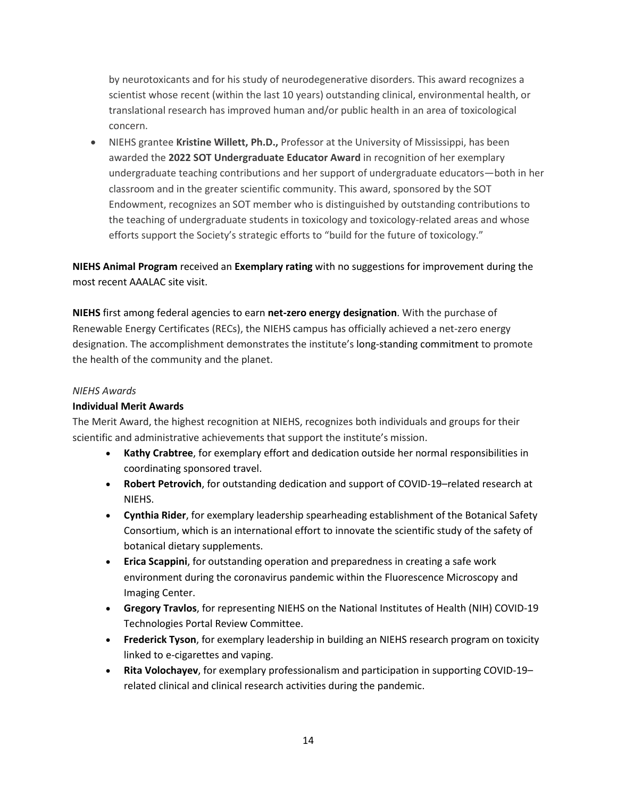by neurotoxicants and for his study of neurodegenerative disorders. This award recognizes a scientist whose recent (within the last 10 years) outstanding clinical, environmental health, or translational research has improved human and/or public health in an area of toxicological concern.

• NIEHS grantee **Kristine Willett, Ph.D.,** Professor at the University of Mississippi, has been awarded the **2022 SOT Undergraduate Educator Award** in recognition of her exemplary undergraduate teaching contributions and her support of undergraduate educators—both in her classroom and in the greater scientific community. This award, sponsored by the SOT Endowment, recognizes an SOT member who is distinguished by outstanding contributions to the teaching of undergraduate students in toxicology and toxicology-related areas and whose efforts support the Society's strategic efforts to "build for the future of toxicology."

**NIEHS Animal Program** received an **Exemplary rating** with no suggestions for improvement during the most recent AAALAC site visit.

**NIEHS** first among federal agencies to earn **net-zero energy designation**. With the purchase of Renewable Energy Certificates (RECs), the NIEHS campus has officially achieved a net-zero energy designation. The accomplishment demonstrates the institute's long-standing commitment to promote the health of the community and the planet.

#### *NIEHS Awards*

#### **Individual Merit Awards**

The Merit Award, the highest recognition at NIEHS, recognizes both individuals and groups for their scientific and administrative achievements that support the institute's mission.

- **Kathy Crabtree**, for exemplary effort and dedication outside her normal responsibilities in coordinating sponsored travel.
- **Robert Petrovich**, for outstanding dedication and support of COVID-19–related research at NIEHS.
- **Cynthia Rider**, for exemplary leadership spearheading establishment of the Botanical Safety Consortium, which is an international effort to innovate the scientific study of the safety of botanical dietary supplements.
- **Erica Scappini**, for outstanding operation and preparedness in creating a safe work environment during the coronavirus pandemic within the Fluorescence Microscopy and Imaging Center.
- **Gregory Travlos**, for representing NIEHS on the National Institutes of Health (NIH) COVID-19 Technologies Portal Review Committee.
- **Frederick Tyson**, for exemplary leadership in building an NIEHS research program on toxicity linked to e-cigarettes and vaping.
- **Rita Volochayev**, for exemplary professionalism and participation in supporting COVID-19– related clinical and clinical research activities during the pandemic.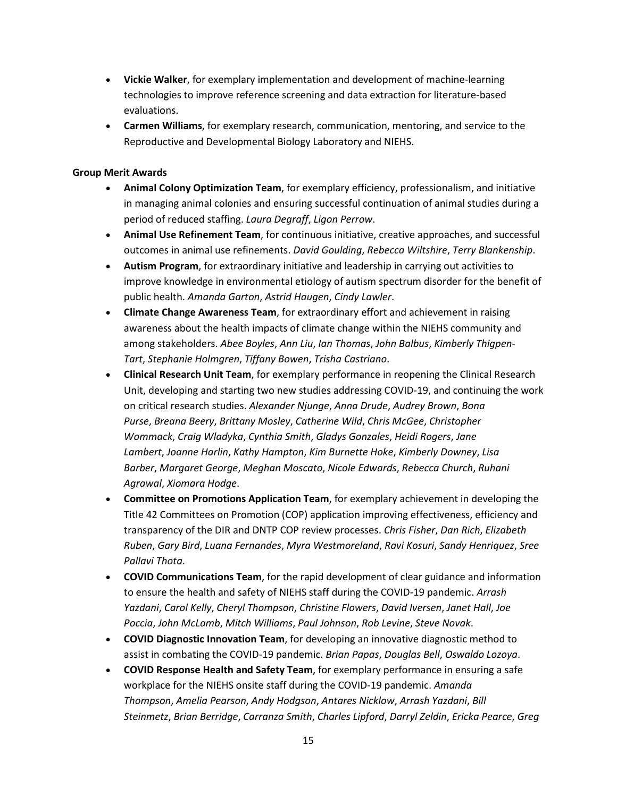- **Vickie Walker**, for exemplary implementation and development of machine-learning technologies to improve reference screening and data extraction for literature-based evaluations.
- **Carmen Williams**, for exemplary research, communication, mentoring, and service to the Reproductive and Developmental Biology Laboratory and NIEHS.

#### **Group Merit Awards**

- **Animal Colony Optimization Team**, for exemplary efficiency, professionalism, and initiative in managing animal colonies and ensuring successful continuation of animal studies during a period of reduced staffing. *Laura Degraff*, *Ligon Perrow*.
- **Animal Use Refinement Team**, for continuous initiative, creative approaches, and successful outcomes in animal use refinements. *David Goulding*, *Rebecca Wiltshire*, *Terry Blankenship*.
- **Autism Program**, for extraordinary initiative and leadership in carrying out activities to improve knowledge in environmental etiology of autism spectrum disorder for the benefit of public health. *Amanda Garton*, *Astrid Haugen*, *Cindy Lawler*.
- **Climate Change Awareness Team**, for extraordinary effort and achievement in raising awareness about the health impacts of climate change within the NIEHS community and among stakeholders. *Abee Boyles*, *Ann Liu*, *Ian Thomas*, *John Balbus*, *Kimberly Thigpen-Tart*, *Stephanie Holmgren*, *Tiffany Bowen*, *Trisha Castriano*.
- **Clinical Research Unit Team**, for exemplary performance in reopening the Clinical Research Unit, developing and starting two new studies addressing COVID-19, and continuing the work on critical research studies. *Alexander Njunge*, *Anna Drude*, *Audrey Brown*, *Bona Purse*, *Breana Beery*, *Brittany Mosley*, *Catherine Wild*, *Chris McGee*, *Christopher Wommack*, *Craig Wladyka*, *Cynthia Smith*, *Gladys Gonzales*, *Heidi Rogers*, *Jane Lambert*, *Joanne Harlin*, *Kathy Hampton*, *Kim Burnette Hoke*, *Kimberly Downey*, *Lisa Barber*, *Margaret George*, *Meghan Moscato*, *Nicole Edwards*, *Rebecca Church*, *Ruhani Agrawal*, *Xiomara Hodge*.
- **Committee on Promotions Application Team**, for exemplary achievement in developing the Title 42 Committees on Promotion (COP) application improving effectiveness, efficiency and transparency of the DIR and DNTP COP review processes. *Chris Fisher*, *Dan Rich*, *Elizabeth Ruben*, *Gary Bird*, *Luana Fernandes*, *Myra Westmoreland*, *Ravi Kosuri*, *Sandy Henriquez*, *Sree Pallavi Thota*.
- **COVID Communications Team**, for the rapid development of clear guidance and information to ensure the health and safety of NIEHS staff during the COVID-19 pandemic. *Arrash Yazdani*, *Carol Kelly*, *Cheryl Thompson*, *Christine Flowers*, *David Iversen*, *Janet Hall*, *Joe Poccia*, *John McLamb*, *Mitch Williams*, *Paul Johnson*, *Rob Levine*, *Steve Novak*.
- **COVID Diagnostic Innovation Team**, for developing an innovative diagnostic method to assist in combating the COVID-19 pandemic. *Brian Papas*, *Douglas Bell*, *Oswaldo Lozoya*.
- **COVID Response Health and Safety Team**, for exemplary performance in ensuring a safe workplace for the NIEHS onsite staff during the COVID-19 pandemic. *Amanda Thompson*, *Amelia Pearson*, *Andy Hodgson*, *Antares Nicklow*, *Arrash Yazdani*, *Bill Steinmetz*, *Brian Berridge*, *Carranza Smith*, *Charles Lipford*, *Darryl Zeldin*, *Ericka Pearce*, *Greg*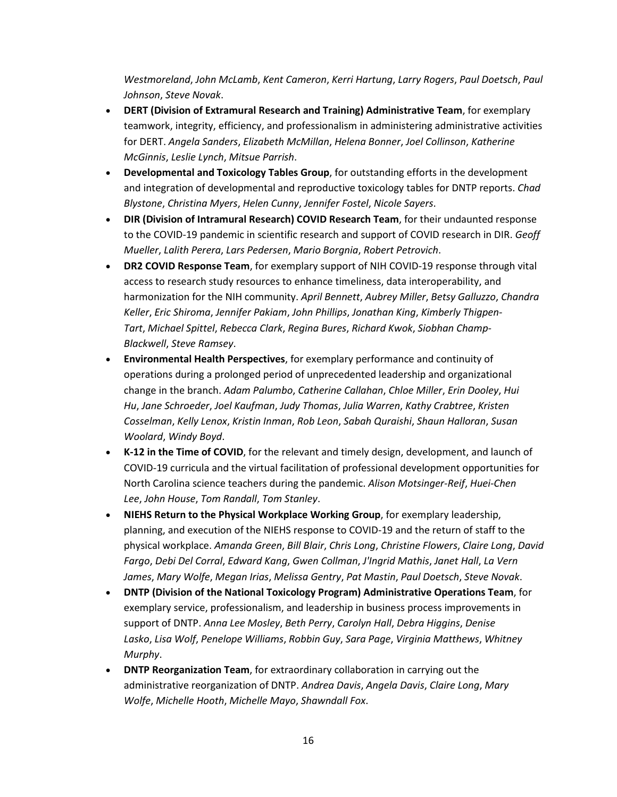*Westmoreland*, *John McLamb*, *Kent Cameron*, *Kerri Hartung*, *Larry Rogers*, *Paul Doetsch*, *Paul Johnson*, *Steve Novak*.

- **DERT (Division of Extramural Research and Training) Administrative Team**, for exemplary teamwork, integrity, efficiency, and professionalism in administering administrative activities for DERT. *Angela Sanders*, *Elizabeth McMillan*, *Helena Bonner*, *Joel Collinson*, *Katherine McGinnis*, *Leslie Lynch*, *Mitsue Parrish*.
- **Developmental and Toxicology Tables Group**, for outstanding efforts in the development and integration of developmental and reproductive toxicology tables for DNTP reports. *Chad Blystone*, *Christina Myers*, *Helen Cunny*, *Jennifer Fostel*, *Nicole Sayers*.
- **DIR (Division of Intramural Research) COVID Research Team**, for their undaunted response to the COVID-19 pandemic in scientific research and support of COVID research in DIR. *Geoff Mueller*, *Lalith Perera*, *Lars Pedersen*, *Mario Borgnia*, *Robert Petrovich*.
- **DR2 COVID Response Team**, for exemplary support of NIH COVID-19 response through vital access to research study resources to enhance timeliness, data interoperability, and harmonization for the NIH community. *April Bennett*, *Aubrey Miller*, *Betsy Galluzzo*, *Chandra Keller*, *Eric Shiroma*, *Jennifer Pakiam*, *John Phillips*, *Jonathan King*, *Kimberly Thigpen-Tart*, *Michael Spittel*, *Rebecca Clark*, *Regina Bures*, *Richard Kwok*, *Siobhan Champ-Blackwell*, *Steve Ramsey*.
- **Environmental Health Perspectives**, for exemplary performance and continuity of operations during a prolonged period of unprecedented leadership and organizational change in the branch. *Adam Palumbo*, *Catherine Callahan*, *Chloe Miller*, *Erin Dooley*, *Hui Hu*, *Jane Schroeder*, *Joel Kaufman*, *Judy Thomas*, *Julia Warren*, *Kathy Crabtree*, *Kristen Cosselman*, *Kelly Lenox*, *Kristin Inman*, *Rob Leon*, *Sabah Quraishi*, *Shaun Halloran*, *Susan Woolard*, *Windy Boyd*.
- **K-12 in the Time of COVID**, for the relevant and timely design, development, and launch of COVID-19 curricula and the virtual facilitation of professional development opportunities for North Carolina science teachers during the pandemic. *Alison Motsinger-Reif*, *Huei-Chen Lee*, *John House*, *Tom Randall*, *Tom Stanley*.
- **NIEHS Return to the Physical Workplace Working Group**, for exemplary leadership, planning, and execution of the NIEHS response to COVID-19 and the return of staff to the physical workplace. *Amanda Green*, *Bill Blair*, *Chris Long*, *Christine Flowers*, *Claire Long*, *David Fargo*, *Debi Del Corral*, *Edward Kang*, *Gwen Collman*, *J'Ingrid Mathis*, *Janet Hall*, *La Vern James*, *Mary Wolfe*, *Megan Irias*, *Melissa Gentry*, *Pat Mastin*, *Paul Doetsch*, *Steve Novak*.
- **DNTP (Division of the National Toxicology Program) Administrative Operations Team**, for exemplary service, professionalism, and leadership in business process improvements in support of DNTP. *Anna Lee Mosley*, *Beth Perry*, *Carolyn Hall*, *Debra Higgins*, *Denise Lasko*, *Lisa Wolf*, *Penelope Williams*, *Robbin Guy*, *Sara Page*, *Virginia Matthews*, *Whitney Murphy*.
- **DNTP Reorganization Team**, for extraordinary collaboration in carrying out the administrative reorganization of DNTP. *Andrea Davis*, *Angela Davis*, *Claire Long*, *Mary Wolfe*, *Michelle Hooth*, *Michelle Mayo*, *Shawndall Fox*.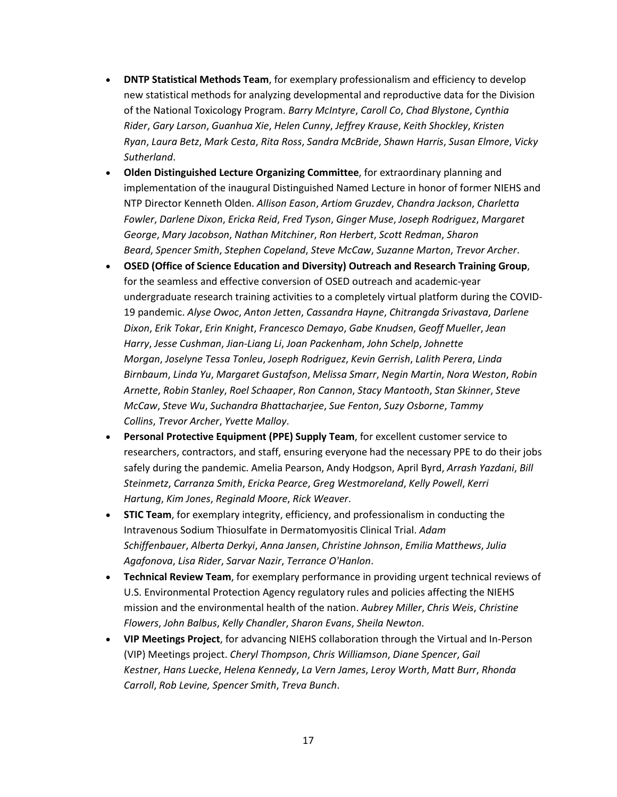- **DNTP Statistical Methods Team**, for exemplary professionalism and efficiency to develop new statistical methods for analyzing developmental and reproductive data for the Division of the National Toxicology Program. *Barry McIntyre*, *Caroll Co*, *Chad Blystone*, *Cynthia Rider*, *Gary Larson*, *Guanhua Xie*, *Helen Cunny*, *Jeffrey Krause*, *Keith Shockley*, *Kristen Ryan*, *Laura Betz*, *Mark Cesta*, *Rita Ross*, *Sandra McBride*, *Shawn Harris*, *Susan Elmore*, *Vicky Sutherland*.
- **Olden Distinguished Lecture Organizing Committee**, for extraordinary planning and implementation of the inaugural Distinguished Named Lecture in honor of former NIEHS and NTP Director Kenneth Olden. *Allison Eason*, *Artiom Gruzdev*, *Chandra Jackson*, *Charletta Fowler*, *Darlene Dixon*, *Ericka Reid*, *Fred Tyson*, *Ginger Muse*, *Joseph Rodriguez*, *Margaret George*, *Mary Jacobson*, *Nathan Mitchiner*, *Ron Herbert*, *Scott Redman*, *Sharon Beard*, *Spencer Smith*, *Stephen Copeland*, *Steve McCaw*, *Suzanne Marton*, *Trevor Archer*.
- **OSED (Office of Science Education and Diversity) Outreach and Research Training Group**, for the seamless and effective conversion of OSED outreach and academic-year undergraduate research training activities to a completely virtual platform during the COVID-19 pandemic. *Alyse Owoc*, *Anton Jetten*, *Cassandra Hayne*, *Chitrangda Srivastava*, *Darlene Dixon*, *Erik Tokar*, *Erin Knight*, *Francesco Demayo*, *Gabe Knudsen*, *Geoff Mueller*, *Jean Harry*, *Jesse Cushman*, *Jian-Liang Li*, *Joan Packenham*, *John Schelp*, *Johnette Morgan*, *Joselyne Tessa Tonleu*, *Joseph Rodriguez*, *Kevin Gerrish*, *Lalith Perera*, *Linda Birnbaum*, *Linda Yu*, *Margaret Gustafson*, *Melissa Smarr*, *Negin Martin*, *Nora Weston*, *Robin Arnette*, *Robin Stanley*, *Roel Schaaper*, *Ron Cannon*, *Stacy Mantooth*, *Stan Skinner*, *Steve McCaw*, *Steve Wu*, *Suchandra Bhattacharjee*, *Sue Fenton*, *Suzy Osborne*, *Tammy Collins*, *Trevor Archer*, *Yvette Malloy*.
- **Personal Protective Equipment (PPE) Supply Team**, for excellent customer service to researchers, contractors, and staff, ensuring everyone had the necessary PPE to do their jobs safely during the pandemic. Amelia Pearson, Andy Hodgson, April Byrd, *Arrash Yazdani*, *Bill Steinmetz*, *Carranza Smith*, *Ericka Pearce*, *Greg Westmoreland*, *Kelly Powell*, *Kerri Hartung*, *Kim Jones*, *Reginald Moore*, *Rick Weaver*.
- **STIC Team**, for exemplary integrity, efficiency, and professionalism in conducting the Intravenous Sodium Thiosulfate in Dermatomyositis Clinical Trial. *Adam Schiffenbauer*, *Alberta Derkyi*, *Anna Jansen*, *Christine Johnson*, *Emilia Matthews*, *Julia Agafonova*, *Lisa Rider*, *Sarvar Nazir*, *Terrance O'Hanlon*.
- **Technical Review Team**, for exemplary performance in providing urgent technical reviews of U.S. Environmental Protection Agency regulatory rules and policies affecting the NIEHS mission and the environmental health of the nation. *Aubrey Miller*, *Chris Weis*, *Christine Flowers*, *John Balbus*, *Kelly Chandler*, *Sharon Evans*, *Sheila Newton*.
- **VIP Meetings Project**, for advancing NIEHS collaboration through the Virtual and In-Person (VIP) Meetings project. *Cheryl Thompson*, *Chris Williamson*, *Diane Spencer*, *Gail Kestner*, *Hans Luecke*, *Helena Kennedy*, *La Vern James*, *Leroy Worth*, *Matt Burr*, *Rhonda Carroll*, *Rob Levine, Spencer Smith*, *Treva Bunch*.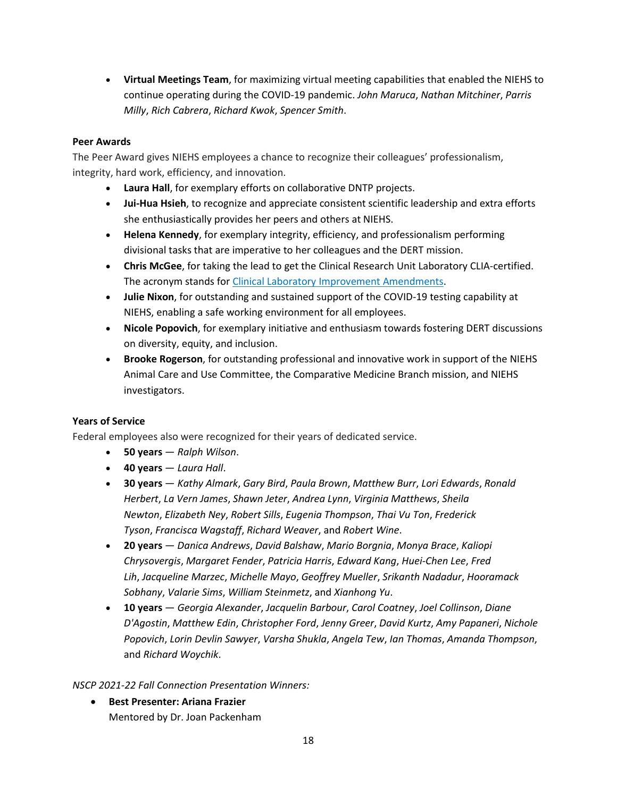• **Virtual Meetings Team**, for maximizing virtual meeting capabilities that enabled the NIEHS to continue operating during the COVID-19 pandemic. *John Maruca*, *Nathan Mitchiner*, *Parris Milly*, *Rich Cabrera*, *Richard Kwok*, *Spencer Smith*.

## **Peer Awards**

The Peer Award gives NIEHS employees a chance to recognize their colleagues' professionalism, integrity, hard work, efficiency, and innovation.

- **Laura Hall**, for exemplary efforts on collaborative DNTP projects.
- **Jui-Hua Hsieh**, to recognize and appreciate consistent scientific leadership and extra efforts she enthusiastically provides her peers and others at NIEHS.
- **Helena Kennedy**, for exemplary integrity, efficiency, and professionalism performing divisional tasks that are imperative to her colleagues and the DERT mission.
- **Chris McGee**, for taking the lead to get the Clinical Research Unit Laboratory CLIA-certified. The acronym stands for Clinical Laboratory Improvement [Amendments.](https://www.cms.gov/Regulations-and-Guidance/Legislation/CLIA)
- **Julie Nixon**, for outstanding and sustained support of the COVID-19 testing capability at NIEHS, enabling a safe working environment for all employees.
- **Nicole Popovich**, for exemplary initiative and enthusiasm towards fostering DERT discussions on diversity, equity, and inclusion.
- **Brooke Rogerson**, for outstanding professional and innovative work in support of the NIEHS Animal Care and Use Committee, the Comparative Medicine Branch mission, and NIEHS investigators.

## **Years of Service**

Federal employees also were recognized for their years of dedicated service.

- **50 years** *Ralph Wilson*.
- **40 years** *Laura Hall*.
- **30 years** *Kathy Almark*, *Gary Bird*, *Paula Brown*, *Matthew Burr*, *Lori Edwards*, *Ronald Herbert*, *La Vern James*, *Shawn Jeter*, *Andrea Lynn*, *Virginia Matthews*, *Sheila Newton*, *Elizabeth Ney*, *Robert Sills*, *Eugenia Thompson*, *Thai Vu Ton*, *Frederick Tyson*, *Francisca Wagstaff*, *Richard Weaver*, and *Robert Wine*.
- **20 years** *Danica Andrews*, *David Balshaw*, *Mario Borgnia*, *Monya Brace*, *Kaliopi Chrysovergis*, *Margaret Fender*, *Patricia Harris*, *Edward Kang*, *Huei-Chen Lee*, *Fred Lih*, *Jacqueline Marzec*, *Michelle Mayo*, *Geoffrey Mueller*, *Srikanth Nadadur*, *Hooramack Sobhany*, *Valarie Sims*, *William Steinmetz*, and *Xianhong Yu*.
- **10 years** *Georgia Alexander*, *Jacquelin Barbour*, *Carol Coatney*, *Joel Collinson*, *Diane D'Agostin*, *Matthew Edin*, *Christopher Ford*, *Jenny Greer*, *David Kurtz*, *Amy Papaneri*, *Nichole Popovich*, *Lorin Devlin Sawyer*, *Varsha Shukla*, *Angela Tew*, *Ian Thomas*, *Amanda Thompson*, and *Richard Woychik*.

#### *NSCP 2021-22 Fall Connection Presentation Winners:*

• **Best Presenter: Ariana Frazier** Mentored by Dr. Joan Packenham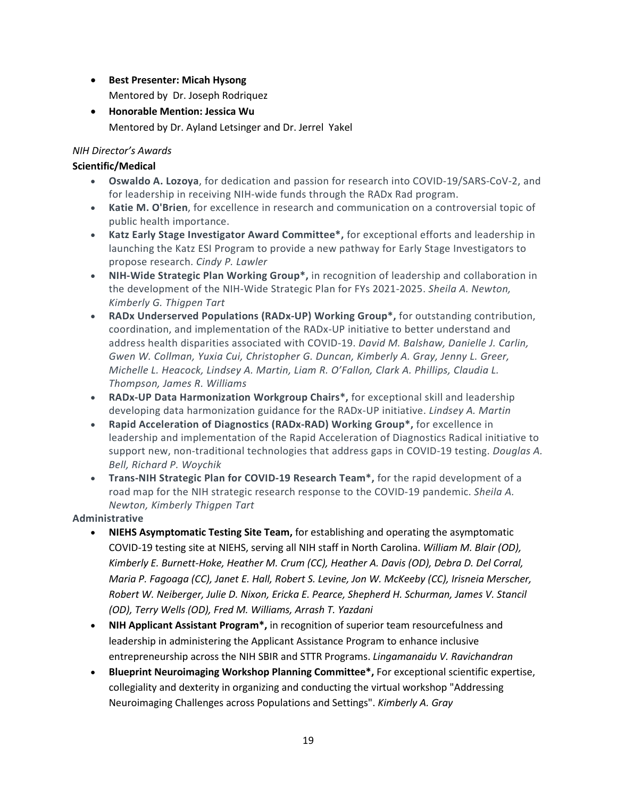- **Best Presenter: Micah Hysong**
	- Mentored by Dr. Joseph Rodriquez
- **Honorable Mention: Jessica Wu** Mentored by Dr. Ayland Letsinger and Dr. Jerrel Yakel

## *NIH Director's Awards*

## **Scientific/Medical**

- **Oswaldo A. Lozoya**, for dedication and passion for research into COVID-19/SARS-CoV-2, and for leadership in receiving NIH-wide funds through the RADx Rad program.
- **Katie M. O'Brien**, for excellence in research and communication on a controversial topic of public health importance.
- **Katz Early Stage Investigator Award Committee\*,** for exceptional efforts and leadership in launching the Katz ESI Program to provide a new pathway for Early Stage Investigators to propose research. *Cindy P. Lawler*
- **NIH-Wide Strategic Plan Working Group\*,** in recognition of leadership and collaboration in the development of the NIH-Wide Strategic Plan for FYs 2021-2025. *Sheila A. Newton, Kimberly G. Thigpen Tart*
- **RADx Underserved Populations (RADx-UP) Working Group\*,** for outstanding contribution, coordination, and implementation of the RADx-UP initiative to better understand and address health disparities associated with COVID-19. *David M. Balshaw, Danielle J. Carlin, Gwen W. Collman, Yuxia Cui, Christopher G. Duncan, Kimberly A. Gray, Jenny L. Greer, Michelle L. Heacock, Lindsey A. Martin, Liam R. O'Fallon, Clark A. Phillips, Claudia L. Thompson, James R. Williams*
- **RADx-UP Data Harmonization Workgroup Chairs\*,** for exceptional skill and leadership developing data harmonization guidance for the RADx-UP initiative. *Lindsey A. Martin*
- **Rapid Acceleration of Diagnostics (RADx-RAD) Working Group\*,** for excellence in leadership and implementation of the Rapid Acceleration of Diagnostics Radical initiative to support new, non-traditional technologies that address gaps in COVID-19 testing. *Douglas A. Bell, Richard P. Woychik*
- **Trans-NIH Strategic Plan for COVID-19 Research Team\*,** for the rapid development of a road map for the NIH strategic research response to the COVID-19 pandemic. *Sheila A. Newton, Kimberly Thigpen Tart*

## **Administrative**

- **NIEHS Asymptomatic Testing Site Team,** for establishing and operating the asymptomatic COVID-19 testing site at NIEHS, serving all NIH staff in North Carolina. *William M. Blair (OD), Kimberly E. Burnett-Hoke, Heather M. Crum (CC), Heather A. Davis (OD), Debra D. Del Corral, Maria P. Fagoaga (CC), Janet E. Hall, Robert S. Levine, Jon W. McKeeby (CC), Irisneia Merscher, Robert W. Neiberger, Julie D. Nixon, Ericka E. Pearce, Shepherd H. Schurman, James V. Stancil (OD), Terry Wells (OD), Fred M. Williams, Arrash T. Yazdani*
- **NIH Applicant Assistant Program\*,** in recognition of superior team resourcefulness and leadership in administering the Applicant Assistance Program to enhance inclusive entrepreneurship across the NIH SBIR and STTR Programs. *Lingamanaidu V. Ravichandran*
- **Blueprint Neuroimaging Workshop Planning Committee\*,** For exceptional scientific expertise, collegiality and dexterity in organizing and conducting the virtual workshop "Addressing Neuroimaging Challenges across Populations and Settings". *Kimberly A. Gray*